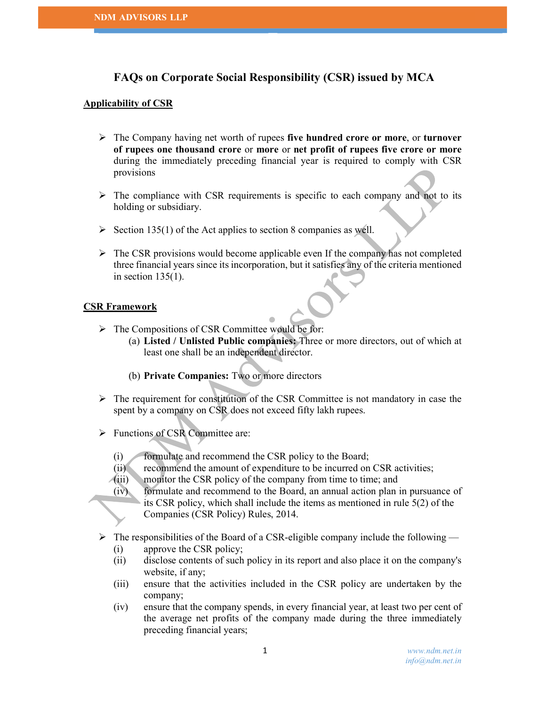# FAQs on Corporate Social Responsibility (CSR) issued by MCA

### Applicability of CSR

- $\triangleright$  The Company having net worth of rupees five hundred crore or more, or turnover of rupees one thousand crore or more or net profit of rupees five crore or more during the immediately preceding financial year is required to comply with CSR provisions
- $\triangleright$  The compliance with CSR requirements is specific to each company and not to its holding or subsidiary.
- $\triangleright$  Section 135(1) of the Act applies to section 8 companies as well.
- $\triangleright$  The CSR provisions would become applicable even If the company has not completed three financial years since its incorporation, but it satisfies any of the criteria mentioned in section  $135(1)$ .

### CSR Framework

- > The Compositions of CSR Committee would be for:
	- (a) Listed / Unlisted Public companies: Three or more directors, out of which at least one shall be an independent director.
	- (b) Private Companies: Two or more directors
- $\triangleright$  The requirement for constitution of the CSR Committee is not mandatory in case the spent by a company on CSR does not exceed fifty lakh rupees.
- > Functions of CSR Committee are:
	- (i) formulate and recommend the CSR policy to the Board;
	- (ii) recommend the amount of expenditure to be incurred on CSR activities;
	- (iii) monitor the CSR policy of the company from time to time; and
	- (iv) formulate and recommend to the Board, an annual action plan in pursuance of its CSR policy, which shall include the items as mentioned in rule 5(2) of the Companies (CSR Policy) Rules, 2014.
- $\triangleright$  The responsibilities of the Board of a CSR-eligible company include the following
	- (i) approve the CSR policy;
	- (ii) disclose contents of such policy in its report and also place it on the company's website, if any;
	- (iii) ensure that the activities included in the CSR policy are undertaken by the company;
	- (iv) ensure that the company spends, in every financial year, at least two per cent of the average net profits of the company made during the three immediately preceding financial years;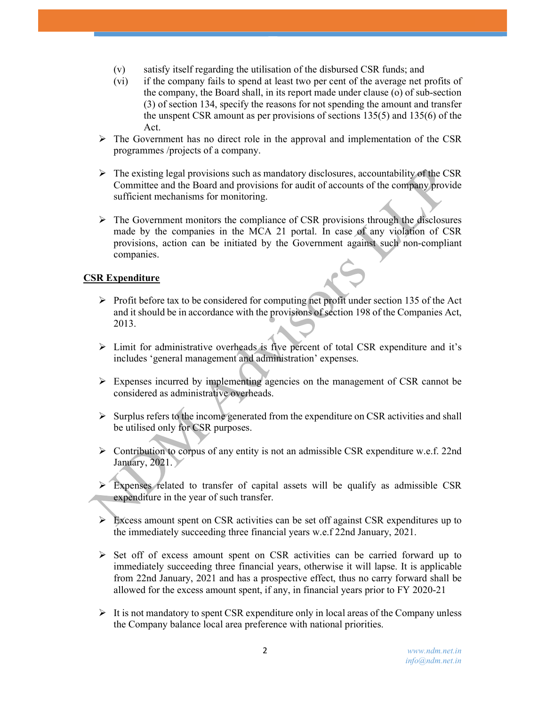- (v) satisfy itself regarding the utilisation of the disbursed CSR funds; and
- (vi) if the company fails to spend at least two per cent of the average net profits of the company, the Board shall, in its report made under clause (o) of sub-section (3) of section 134, specify the reasons for not spending the amount and transfer the unspent CSR amount as per provisions of sections 135(5) and 135(6) of the Act.
- $\triangleright$  The Government has no direct role in the approval and implementation of the CSR programmes /projects of a company.
- $\triangleright$  The existing legal provisions such as mandatory disclosures, accountability of the CSR Committee and the Board and provisions for audit of accounts of the company provide sufficient mechanisms for monitoring.
- $\triangleright$  The Government monitors the compliance of CSR provisions through the disclosures made by the companies in the MCA 21 portal. In case of any violation of CSR provisions, action can be initiated by the Government against such non-compliant companies.

## CSR Expenditure

- $\triangleright$  Profit before tax to be considered for computing net profit under section 135 of the Act and it should be in accordance with the provisions of section 198 of the Companies Act, 2013.
- $\triangleright$  Limit for administrative overheads is five percent of total CSR expenditure and it's includes 'general management and administration' expenses.
- $\triangleright$  Expenses incurred by implementing agencies on the management of CSR cannot be considered as administrative overheads.
- $\triangleright$  Surplus refers to the income generated from the expenditure on CSR activities and shall be utilised only for CSR purposes.
- Contribution to corpus of any entity is not an admissible CSR expenditure w.e.f. 22nd January, 2021.
- $\triangleright$  Expenses related to transfer of capital assets will be qualify as admissible CSR expenditure in the year of such transfer.
- $\triangleright$  Excess amount spent on CSR activities can be set off against CSR expenditures up to the immediately succeeding three financial years w.e.f 22nd January, 2021.
- $\triangleright$  Set off of excess amount spent on CSR activities can be carried forward up to immediately succeeding three financial years, otherwise it will lapse. It is applicable from 22nd January, 2021 and has a prospective effect, thus no carry forward shall be allowed for the excess amount spent, if any, in financial years prior to FY 2020-21
- $\triangleright$  It is not mandatory to spent CSR expenditure only in local areas of the Company unless the Company balance local area preference with national priorities.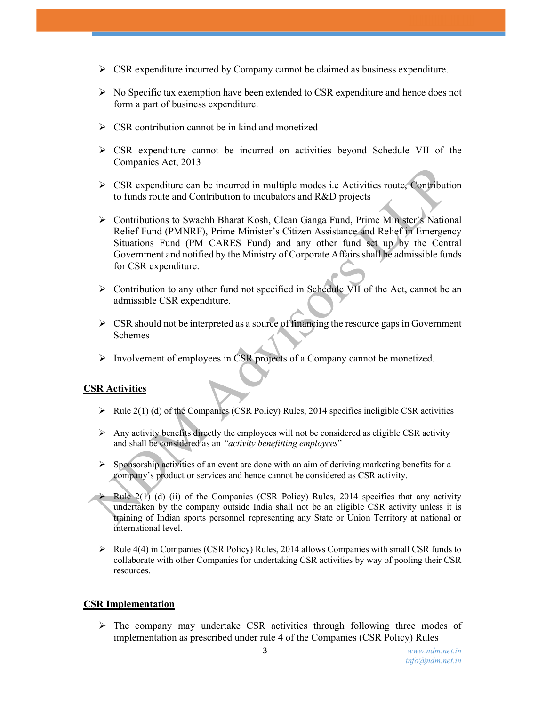- $\triangleright$  CSR expenditure incurred by Company cannot be claimed as business expenditure.
- $\triangleright$  No Specific tax exemption have been extended to CSR expenditure and hence does not form a part of business expenditure.
- $\triangleright$  CSR contribution cannot be in kind and monetized
- $\triangleright$  CSR expenditure cannot be incurred on activities beyond Schedule VII of the Companies Act, 2013
- $\triangleright$  CSR expenditure can be incurred in multiple modes i.e. Activities route, Contribution to funds route and Contribution to incubators and R&D projects
- Contributions to Swachh Bharat Kosh, Clean Ganga Fund, Prime Minister's National Relief Fund (PMNRF), Prime Minister's Citizen Assistance and Relief in Emergency Situations Fund (PM CARES Fund) and any other fund set up by the Central Government and notified by the Ministry of Corporate Affairs shall be admissible funds for CSR expenditure.
- Contribution to any other fund not specified in Schedule VII of the Act, cannot be an admissible CSR expenditure.
- $\triangleright$  CSR should not be interpreted as a source of financing the resource gaps in Government Schemes
- $\triangleright$  Involvement of employees in CSR projects of a Company cannot be monetized.

## CSR Activities

- $\triangleright$  Rule 2(1) (d) of the Companies (CSR Policy) Rules, 2014 specifies ineligible CSR activities
- $\triangleright$  Any activity benefits directly the employees will not be considered as eligible CSR activity and shall be considered as an "activity benefitting employees"
- $\triangleright$  Sponsorship activities of an event are done with an aim of deriving marketing benefits for a company's product or services and hence cannot be considered as CSR activity.
- Rule  $2(1)$  (d) (ii) of the Companies (CSR Policy) Rules, 2014 specifies that any activity undertaken by the company outside India shall not be an eligible CSR activity unless it is training of Indian sports personnel representing any State or Union Territory at national or international level.
- $\triangleright$  Rule 4(4) in Companies (CSR Policy) Rules, 2014 allows Companies with small CSR funds to collaborate with other Companies for undertaking CSR activities by way of pooling their CSR resources.

#### CSR Implementation

 The company may undertake CSR activities through following three modes of implementation as prescribed under rule 4 of the Companies (CSR Policy) Rules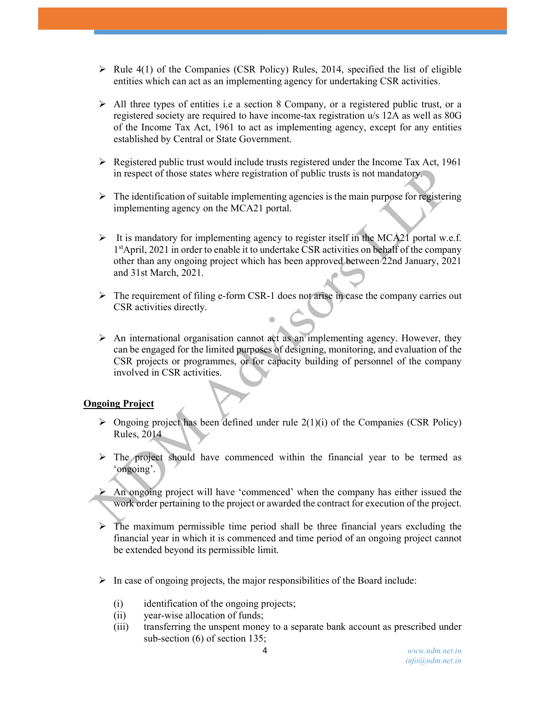- $\triangleright$  Rule 4(1) of the Companies (CSR Policy) Rules, 2014, specified the list of eligible entities which can act as an implementing agency for undertaking CSR activities.
- $\triangleright$  All three types of entities i.e a section 8 Company, or a registered public trust, or a registered society are required to have income-tax registration u/s 12A as well as 80G of the Income Tax Act, 1961 to act as implementing agency, except for any entities established by Central or State Government.
- $\triangleright$  Registered public trust would include trusts registered under the Income Tax Act, 1961 in respect of those states where registration of public trusts is not mandatory.
- $\triangleright$  The identification of suitable implementing agencies is the main purpose for registering implementing agency on the MCA21 portal.
- It is mandatory for implementing agency to register itself in the MCA21 portal w.e.f. 1 stApril, 2021 in order to enable it to undertake CSR activities on behalf of the company other than any ongoing project which has been approved between 22nd January, 2021 and 31st March, 2021.
- $\triangleright$  The requirement of filing e-form CSR-1 does not arise in case the company carries out CSR activities directly.
- $\triangleright$  An international organisation cannot act as an implementing agency. However, they can be engaged for the limited purposes of designing, monitoring, and evaluation of the CSR projects or programmes, or for capacity building of personnel of the company involved in CSR activities.

## Ongoing Project

- $\triangleright$  Ongoing project has been defined under rule 2(1)(i) of the Companies (CSR Policy) Rules, 2014
- $\triangleright$  The project should have commenced within the financial year to be termed as 'ongoing'.
- $\triangleright$  An ongoing project will have 'commenced' when the company has either issued the work order pertaining to the project or awarded the contract for execution of the project.
- $\triangleright$  The maximum permissible time period shall be three financial years excluding the financial year in which it is commenced and time period of an ongoing project cannot be extended beyond its permissible limit.
- $\triangleright$  In case of ongoing projects, the major responsibilities of the Board include:
	- (i) identification of the ongoing projects;
	- (ii) year-wise allocation of funds;
	- (iii) transferring the unspent money to a separate bank account as prescribed under sub-section (6) of section 135;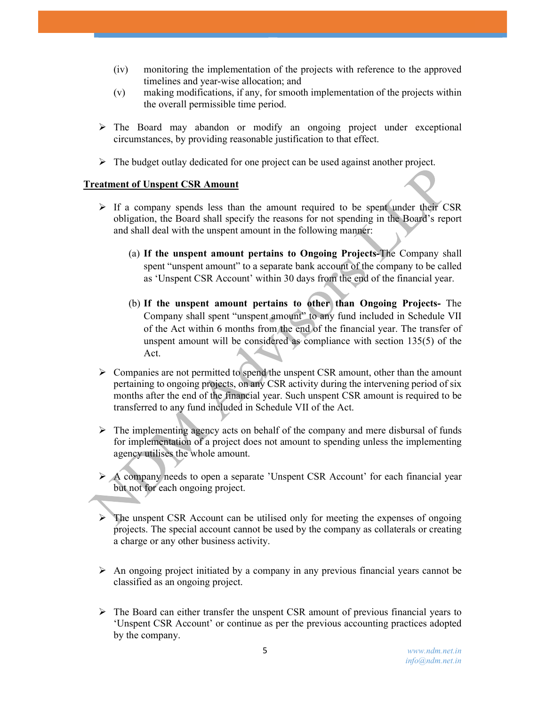- (iv) monitoring the implementation of the projects with reference to the approved timelines and year-wise allocation; and
- (v) making modifications, if any, for smooth implementation of the projects within the overall permissible time period.
- The Board may abandon or modify an ongoing project under exceptional circumstances, by providing reasonable justification to that effect.
- $\triangleright$  The budget outlay dedicated for one project can be used against another project.

## Treatment of Unspent CSR Amount

- $\triangleright$  If a company spends less than the amount required to be spent under their CSR obligation, the Board shall specify the reasons for not spending in the Board's report and shall deal with the unspent amount in the following manner:
	- (a) If the unspent amount pertains to Ongoing Projects-The Company shall spent "unspent amount" to a separate bank account of the company to be called as 'Unspent CSR Account' within 30 days from the end of the financial year.
	- (b) If the unspent amount pertains to other than Ongoing Projects- The Company shall spent "unspent amount" to any fund included in Schedule VII of the Act within 6 months from the end of the financial year. The transfer of unspent amount will be considered as compliance with section 135(5) of the Act.
- $\triangleright$  Companies are not permitted to spend the unspent CSR amount, other than the amount pertaining to ongoing projects, on any CSR activity during the intervening period of six months after the end of the financial year. Such unspent CSR amount is required to be transferred to any fund included in Schedule VII of the Act.
- $\triangleright$  The implementing agency acts on behalf of the company and mere disbursal of funds for implementation of a project does not amount to spending unless the implementing agency utilises the whole amount.
- $\triangleright$  A company needs to open a separate 'Unspent CSR Account' for each financial year but not for each ongoing project.
- $\triangleright$  The unspent CSR Account can be utilised only for meeting the expenses of ongoing projects. The special account cannot be used by the company as collaterals or creating a charge or any other business activity.
- $\triangleright$  An ongoing project initiated by a company in any previous financial years cannot be classified as an ongoing project.
- $\triangleright$  The Board can either transfer the unspent CSR amount of previous financial years to 'Unspent CSR Account' or continue as per the previous accounting practices adopted by the company.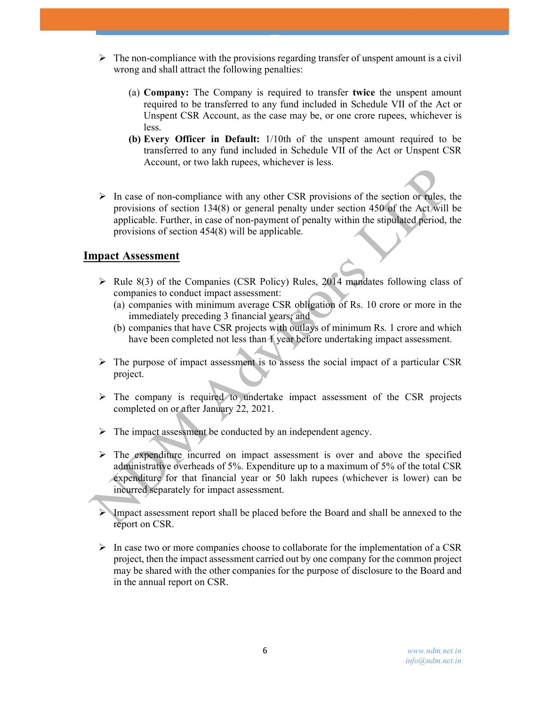- $\triangleright$  The non-compliance with the provisions regarding transfer of unspent amount is a civil wrong and shall attract the following penalties:
	- (a) Company: The Company is required to transfer twice the unspent amount required to be transferred to any fund included in Schedule VII of the Act or Unspent CSR Account, as the case may be, or one crore rupees, whichever is less.
	- (b) Every Officer in Default: 1/10th of the unspent amount required to be transferred to any fund included in Schedule VII of the Act or Unspent CSR Account, or two lakh rupees, whichever is less.
- $\triangleright$  In case of non-compliance with any other CSR provisions of the section or rules, the provisions of section 134(8) or general penalty under section 450 of the Act will be applicable. Further, in case of non-payment of penalty within the stipulated period, the provisions of section 454(8) will be applicable.

# Impact Assessment

- $\triangleright$  Rule 8(3) of the Companies (CSR Policy) Rules, 2014 mandates following class of companies to conduct impact assessment:
	- (a) companies with minimum average CSR obligation of Rs. 10 crore or more in the immediately preceding 3 financial years; and
	- (b) companies that have CSR projects with outlays of minimum Rs. 1 crore and which have been completed not less than 1 year before undertaking impact assessment.
- $\triangleright$  The purpose of impact assessment is to assess the social impact of a particular CSR project.
- $\triangleright$  The company is required to undertake impact assessment of the CSR projects completed on or after January 22, 2021.
- $\triangleright$  The impact assessment be conducted by an independent agency.
- $\triangleright$  The expenditure incurred on impact assessment is over and above the specified administrative overheads of 5%. Expenditure up to a maximum of 5% of the total CSR expenditure for that financial year or 50 lakh rupees (whichever is lower) can be incurred separately for impact assessment.
- Impact assessment report shall be placed before the Board and shall be annexed to the report on CSR.
- $\triangleright$  In case two or more companies choose to collaborate for the implementation of a CSR project, then the impact assessment carried out by one company for the common project may be shared with the other companies for the purpose of disclosure to the Board and in the annual report on CSR.